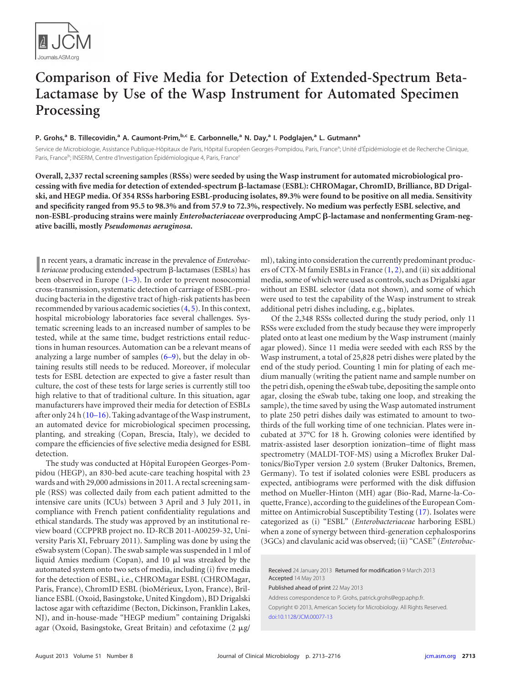

# **Comparison of Five Media for Detection of Extended-Spectrum Beta-Lactamase by Use of the Wasp Instrument for Automated Specimen Processing**

## **P. Grohs, <sup>a</sup> B. Tillecovidin, <sup>a</sup> A. Caumont-Prim, b,c E. Carbonnelle, <sup>a</sup> N. Day, <sup>a</sup> I. Podglajen, <sup>a</sup> L. Gutmanna**

Service de Microbiologie, Assistance Publique-Hôpitaux de Paris, Hôpital Européen Georges-Pompidou, Paris, France<sup>a</sup>; Unité d'Épidémiologie et de Recherche Clinique, Paris, France<sup>b</sup>; INSERM, Centre d'Investigation Épidémiologique 4, Paris, France<sup>c</sup>

**Overall, 2,337 rectal screening samples (RSSs) were seeded by using the Wasp instrument for automated microbiological processing with five media for detection of extended-spectrum -lactamase (ESBL): CHROMagar, ChromID, Brilliance, BD Drigalski, and HEGP media. Of 354 RSSs harboring ESBL-producing isolates, 89.3% were found to be positive on all media. Sensitivity and specificity ranged from 95.5 to 98.3% and from 57.9 to 72.3%, respectively. No medium was perfectly ESBL selective, and non-ESBL-producing strains were mainly** *Enterobacteriaceae* **overproducing AmpC -lactamase and nonfermenting Gram-negative bacilli, mostly** *Pseudomonas aeruginosa***.**

In recent years, a dramatic increase in the prevalence of *Enterobac-*<br> **I** *teriaceae* producing extended-spectrum  $\beta$ -lactamases (ESBLs) has **I** teriaceae producing extended-spectrum  $\beta$ -lactamases (ESBLs) has been observed in Europe  $(1-3)$  $(1-3)$  $(1-3)$ . In order to prevent nosocomial cross-transmission, systematic detection of carriage of ESBL-producing bacteria in the digestive tract of high-risk patients has been recommended by various academic societies [\(4,](#page-2-3) [5\)](#page-2-4). In this context, hospital microbiology laboratories face several challenges. Systematic screening leads to an increased number of samples to be tested, while at the same time, budget restrictions entail reductions in human resources. Automation can be a relevant means of analyzing a large number of samples  $(6-9)$  $(6-9)$  $(6-9)$ , but the delay in obtaining results still needs to be reduced. Moreover, if molecular tests for ESBL detection are expected to give a faster result than culture, the cost of these tests for large series is currently still too high relative to that of traditional culture. In this situation, agar manufacturers have improved their media for detection of ESBLs after only 24 h [\(10](#page-3-1)[–](#page-3-2)[16\)](#page-3-3). Taking advantage of the Wasp instrument, an automated device for microbiological specimen processing, planting, and streaking (Copan, Brescia, Italy), we decided to compare the efficiencies of five selective media designed for ESBL detection.

The study was conducted at Hôpital Européen Georges-Pompidou (HEGP), an 830-bed acute-care teaching hospital with 23 wards and with 29,000 admissions in 2011. A rectal screening sample (RSS) was collected daily from each patient admitted to the intensive care units (ICUs) between 3 April and 3 July 2011, in compliance with French patient confidentiality regulations and ethical standards. The study was approved by an institutional review board (CCPPRB project no. ID-RCB 2011-A00259-32, University Paris XI, February 2011). Sampling was done by using the eSwab system (Copan). The swab sample was suspended in 1 ml of liquid Amies medium (Copan), and 10 µl was streaked by the automated system onto two sets of media, including (i) five media for the detection of ESBL, i.e., CHROMagar ESBL (CHROMagar, Paris, France), ChromID ESBL (bioMérieux, Lyon, France), Brilliance ESBL (Oxoid, Basingstoke, United Kingdom), BD Drigalski lactose agar with ceftazidime (Becton, Dickinson, Franklin Lakes, NJ), and in-house-made "HEGP medium" containing Drigalski agar (Oxoid, Basingstoke, Great Britain) and cefotaxime (2 µg/

ml), taking into consideration the currently predominant producers of CTX-M family ESBLs in France  $(1, 2)$  $(1, 2)$  $(1, 2)$ , and  $(ii)$  six additional media, some of which were used as controls, such as Drigalski agar without an ESBL selector (data not shown), and some of which were used to test the capability of the Wasp instrument to streak additional petri dishes including, e.g., biplates.

Of the 2,348 RSSs collected during the study period, only 11 RSSs were excluded from the study because they were improperly plated onto at least one medium by the Wasp instrument (mainly agar plowed). Since 11 media were seeded with each RSS by the Wasp instrument, a total of 25,828 petri dishes were plated by the end of the study period. Counting 1 min for plating of each medium manually (writing the patient name and sample number on the petri dish, opening the eSwab tube, depositing the sample onto agar, closing the eSwab tube, taking one loop, and streaking the sample), the time saved by using the Wasp automated instrument to plate 250 petri dishes daily was estimated to amount to twothirds of the full working time of one technician. Plates were incubated at 37°C for 18 h. Growing colonies were identified by matrix-assisted laser desorption ionization–time of flight mass spectrometry (MALDI-TOF-MS) using a Microflex Bruker Daltonics/BioTyper version 2.0 system (Bruker Daltonics, Bremen, Germany). To test if isolated colonies were ESBL producers as expected, antibiograms were performed with the disk diffusion method on Mueller-Hinton (MH) agar (Bio-Rad, Marne-la-Coquette, France), according to the guidelines of the European Committee on Antimicrobial Susceptibility Testing [\(17\)](#page-3-4). Isolates were categorized as (i) "ESBL" (*Enterobacteriaceae* harboring ESBL) when a zone of synergy between third-generation cephalosporins (3GCs) and clavulanic acid was observed; (ii) "CASE" (*Enterobac-*

Received 24 January 2013 Returned for modification 9 March 2013 Accepted 14 May 2013

Published ahead of print 22 May 2013

Address correspondence to P. Grohs, patrick.grohs@egp.aphp.fr. Copyright © 2013, American Society for Microbiology. All Rights Reserved. [doi:10.1128/JCM.00077-13](http://dx.doi.org/10.1128/JCM.00077-13)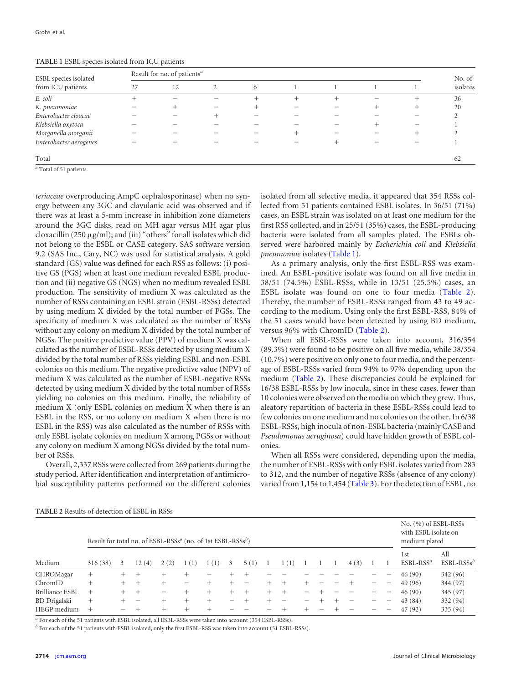| ESBL species isolated<br>from ICU patients | Result for no. of patients <sup>a</sup> |    |   |      |        |  |  |                                  |                    |  |  |  |
|--------------------------------------------|-----------------------------------------|----|---|------|--------|--|--|----------------------------------|--------------------|--|--|--|
|                                            | 27                                      | 12 | 2 | 6    |        |  |  |                                  | No. of<br>isolates |  |  |  |
| E. coli                                    |                                         |    |   | $^+$ | $^{+}$ |  |  | +                                | 36                 |  |  |  |
| K. pneumoniae                              |                                         |    |   |      |        |  |  | $^+$                             | 20                 |  |  |  |
| Enterobacter cloacae                       |                                         |    |   |      |        |  |  |                                  |                    |  |  |  |
| Klebsiella oxytoca                         |                                         |    |   |      |        |  |  |                                  |                    |  |  |  |
| Morganella morganii                        |                                         |    |   |      | +      |  |  | $\hspace{0.1mm} +\hspace{0.1mm}$ |                    |  |  |  |
| Enterobacter aerogenes                     |                                         |    |   |      |        |  |  |                                  |                    |  |  |  |
| Total                                      |                                         |    |   |      |        |  |  |                                  | 62                 |  |  |  |

<span id="page-1-0"></span>**TABLE 1** ESBL species isolated from ICU patients

*<sup>a</sup>* Total of 51 patients.

*teriaceae* overproducing AmpC cephalosporinase) when no synergy between any 3GC and clavulanic acid was observed and if there was at least a 5-mm increase in inhibition zone diameters around the 3GC disks, read on MH agar versus MH agar plus cloxacillin (250 µg/ml); and (iii) "others" for all isolates which did not belong to the ESBL or CASE category. SAS software version 9.2 (SAS Inc., Cary, NC) was used for statistical analysis. A gold standard (GS) value was defined for each RSS as follows: (i) positive GS (PGS) when at least one medium revealed ESBL production and (ii) negative GS (NGS) when no medium revealed ESBL production. The sensitivity of medium X was calculated as the number of RSSs containing an ESBL strain (ESBL-RSSs) detected by using medium X divided by the total number of PGSs. The specificity of medium X was calculated as the number of RSSs without any colony on medium X divided by the total number of NGSs. The positive predictive value (PPV) of medium X was calculated as the number of ESBL-RSSs detected by using medium X divided by the total number of RSSs yielding ESBL and non-ESBL colonies on this medium. The negative predictive value (NPV) of medium X was calculated as the number of ESBL-negative RSSs detected by using medium X divided by the total number of RSSs yielding no colonies on this medium. Finally, the reliability of medium X (only ESBL colonies on medium X when there is an ESBL in the RSS, or no colony on medium X when there is no ESBL in the RSS) was also calculated as the number of RSSs with only ESBL isolate colonies on medium X among PGSs or without any colony on medium X among NGSs divided by the total number of RSSs.

Overall, 2,337 RSSs were collected from 269 patients during the study period. After identification and interpretation of antimicrobial susceptibility patterns performed on the different colonies

isolated from all selective media, it appeared that 354 RSSs collected from 51 patients contained ESBL isolates. In 36/51 (71%) cases, an ESBL strain was isolated on at least one medium for the first RSS collected, and in 25/51 (35%) cases, the ESBL-producing bacteria were isolated from all samples plated. The ESBLs observed were harbored mainly by *Escherichia coli* and *Klebsiella pneumoniae* isolates [\(Table 1\)](#page-1-0).

As a primary analysis, only the first ESBL-RSS was examined. An ESBL-positive isolate was found on all five media in 38/51 (74.5%) ESBL-RSSs, while in 13/51 (25.5%) cases, an ESBL isolate was found on one to four media [\(Table 2\)](#page-1-1). Thereby, the number of ESBL-RSSs ranged from 43 to 49 according to the medium. Using only the first ESBL-RSS, 84% of the 51 cases would have been detected by using BD medium, versus 96% with ChromID [\(Table 2\)](#page-1-1).

When all ESBL-RSSs were taken into account, 316/354 (89.3%) were found to be positive on all five media, while 38/354 (10.7%) were positive on only one to four media, and the percentage of ESBL-RSSs varied from 94% to 97% depending upon the medium [\(Table 2\)](#page-1-1). These discrepancies could be explained for 16/38 ESBL-RSSs by low inocula, since in these cases, fewer than 10 colonies were observed on the media on which they grew. Thus, aleatory repartition of bacteria in these ESBL-RSSs could lead to few colonies on one medium and no colonies on the other. In 6/38 ESBL-RSSs, high inocula of non-ESBL bacteria (mainly CASE and *Pseudomonas aeruginosa*) could have hidden growth of ESBL colonies.

When all RSSs were considered, depending upon the media, the number of ESBL-RSSs with only ESBL isolates varied from 283 to 312, and the number of negative RSSs (absence of any colony) varied from 1,154 to 1,454 [\(Table 3\)](#page-2-7). For the detection of ESBL, no

| Medium              | Result for total no. of ESBL-RSSs <sup><i>a</i></sup> (no. of 1st ESBL-RSSs <sup><i>b</i></sup> ) |      |       |      |       |      |   |        |  |       |  |  |  | No. (%) of ESBL-RSSs<br>with ESBL isolate on<br>medium plated |  |                                |                     |
|---------------------|---------------------------------------------------------------------------------------------------|------|-------|------|-------|------|---|--------|--|-------|--|--|--|---------------------------------------------------------------|--|--------------------------------|---------------------|
|                     | 316(38)                                                                                           | 3    | 12(4) | 2(2) | 1(1)  | 1(1) | 3 | 5(1)   |  | 1(1)  |  |  |  | 4(3)                                                          |  | 1 <sub>st</sub><br>$ESBL-RSSa$ | All<br>$ESBL-RSSsb$ |
| CHROMagar           | $^+$                                                                                              | $^+$ | $\pm$ |      |       |      |   |        |  |       |  |  |  |                                                               |  | 46(90)                         | 342 (96)            |
| ChromID             | $^+$                                                                                              | $^+$ | $^+$  | $+$  |       |      |   |        |  | $\pm$ |  |  |  |                                                               |  | 49 (96)                        | 344 (97)            |
| Brilliance ESBL     | $^{+}$                                                                                            |      | $\pm$ |      | +     | $^+$ |   | $^{+}$ |  | $\pm$ |  |  |  |                                                               |  | 46(90)                         | 345 (97)            |
| <b>BD</b> Drigalski | $^+$                                                                                              |      |       |      | $\pm$ | +    |   |        |  |       |  |  |  |                                                               |  | 43 (84)                        | 332 (94)            |
| HEGP medium         | $^+$                                                                                              |      |       |      |       |      |   |        |  |       |  |  |  |                                                               |  | 47 (92)                        | 335 (94)            |

<span id="page-1-1"></span>**TABLE 2** Results of detection of ESBL in RSSs

*<sup>a</sup>* For each of the 51 patients with ESBL isolated, all ESBL-RSSs were taken into account (354 ESBL-RSSs).

*b* For each of the 51 patients with ESBL isolated, only the first ESBL-RSS was taken into account (51 ESBL-RSSs).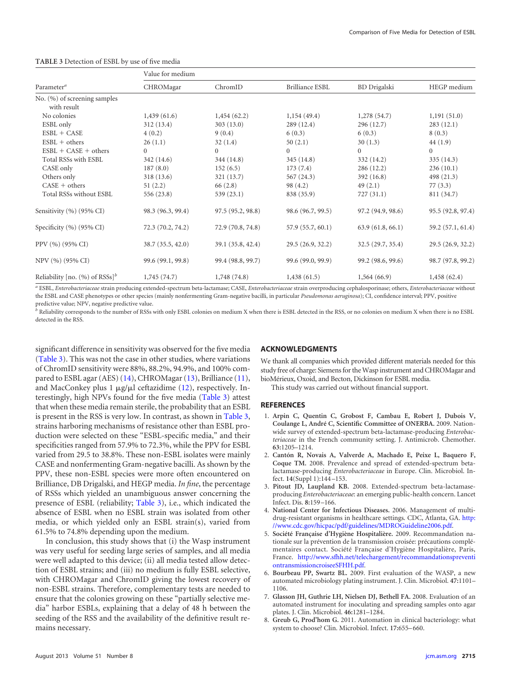|                                                | Value for medium  |                   |                        |                     |                   |  |  |  |  |  |  |  |  |
|------------------------------------------------|-------------------|-------------------|------------------------|---------------------|-------------------|--|--|--|--|--|--|--|--|
| Parameter <sup>a</sup>                         | CHROMagar         | ChromID           | <b>Brilliance ESBL</b> | <b>BD</b> Drigalski | HEGP medium       |  |  |  |  |  |  |  |  |
| No. (%) of screening samples<br>with result    |                   |                   |                        |                     |                   |  |  |  |  |  |  |  |  |
| No colonies                                    | 1,439(61.6)       | 1,454(62.2)       | 1,154(49.4)            | 1,278(54.7)         | 1,191(51.0)       |  |  |  |  |  |  |  |  |
| ESBL only                                      | 312(13.4)         | 303(13.0)         | 289(12.4)              | 296 (12.7)          | 283(12.1)         |  |  |  |  |  |  |  |  |
| $ESBL + CASE$                                  | 4(0.2)            | 9(0.4)            | 6(0.3)                 | 6(0.3)              | 8(0.3)            |  |  |  |  |  |  |  |  |
| $ESBL + others$                                | 26(1.1)           | 32(1.4)           | 50(2.1)                | 30(1.3)             | 44(1.9)           |  |  |  |  |  |  |  |  |
| $ESBL + CASE + others$                         | $\overline{0}$    | $\overline{0}$    | $\overline{0}$         | $\Omega$            | $\overline{0}$    |  |  |  |  |  |  |  |  |
| Total RSSs with ESBL                           | 342 (14.6)        | 344 (14.8)        | 345(14.8)              | 332 (14.2)          | 335 (14.3)        |  |  |  |  |  |  |  |  |
| CASE only                                      | 187(8.0)          | 152(6.5)          | 173(7.4)               | 286 (12.2)          | 236(10.1)         |  |  |  |  |  |  |  |  |
| Others only                                    | 318(13.6)         | 321 (13.7)        | 567(24.3)              | 392(16.8)           | 498 (21.3)        |  |  |  |  |  |  |  |  |
| $CASE + others$                                | 51(2.2)           | 66 (2.8)          | 98 (4.2)               | 49(2.1)             | 77(3.3)           |  |  |  |  |  |  |  |  |
| Total RSSs without ESBL                        | 556 (23.8)        | 539(23.1)         | 838 (35.9)             | 727(31.1)           | 811 (34.7)        |  |  |  |  |  |  |  |  |
| Sensitivity (%) (95% CI)                       | 98.3 (96.3, 99.4) | 97.5 (95.2, 98.8) | 98.6 (96.7, 99.5)      | 97.2 (94.9, 98.6)   | 95.5 (92.8, 97.4) |  |  |  |  |  |  |  |  |
| Specificity $(\%)(95\% \text{ CI})$            | 72.3 (70.2, 74.2) | 72.9 (70.8, 74.8) | 57.9 (55.7, 60.1)      | 63.9(61.8, 66.1)    | 59.2 (57.1, 61.4) |  |  |  |  |  |  |  |  |
| PPV (%) (95% CI)                               | 38.7(35.5, 42.0)  | 39.1 (35.8, 42.4) | 29.5(26.9, 32.2)       | 32.5(29.7, 35.4)    | 29.5 (26.9, 32.2) |  |  |  |  |  |  |  |  |
| NPV (%) (95% CI)                               | 99.6 (99.1, 99.8) | 99.4 (98.8, 99.7) | 99.6 (99.0, 99.9)      | 99.2 (98.6, 99.6)   | 98.7 (97.8, 99.2) |  |  |  |  |  |  |  |  |
| Reliability [no. $(\% )$ of RSSs] <sup>b</sup> | 1,745(74.7)       | 1,748(74.8)       | 1,438(61.5)            | 1,564(66.9)         | 1,458(62.4)       |  |  |  |  |  |  |  |  |

#### <span id="page-2-7"></span>**TABLE 3** Detection of ESBL by use of five media

*<sup>a</sup>* ESBL, *Enterobacteriaceae* strain producing extended-spectrum beta-lactamase; CASE, *Enterobacteriaceae* strain overproducing cephalosporinase; others, *Enterobacteriaceae* without the ESBL and CASE phenotypes or other species (mainly nonfermenting Gram-negative bacilli, in particular *Pseudomonas aeruginosa*); CI, confidence interval; PPV, positive predictive value; NPV, negative predictive value.

*<sup>b</sup>* Reliability corresponds to the number of RSSs with only ESBL colonies on medium X when there is ESBL detected in the RSS, or no colonies on medium X when there is no ESBL detected in the RSS.

significant difference in sensitivity was observed for the five media [\(Table 3\)](#page-2-7). This was not the case in other studies, where variations of ChromID sensitivity were 88%, 88.2%, 94.9%, and 100% compared to ESBL agar (AES) [\(14\)](#page-3-5), CHROMagar [\(13\)](#page-3-6), Brilliance [\(11\)](#page-3-7), and MacConkey plus 1 µg/µl ceftazidime [\(12\)](#page-3-8), respectively. Interestingly, high NPVs found for the five media [\(Table 3\)](#page-2-7) attest that when these media remain sterile, the probability that an ESBL is present in the RSS is very low. In contrast, as shown in [Table 3,](#page-2-7) strains harboring mechanisms of resistance other than ESBL production were selected on these "ESBL-specific media," and their specificities ranged from 57.9% to 72.3%, while the PPV for ESBL varied from 29.5 to 38.8%. These non-ESBL isolates were mainly CASE and nonfermenting Gram-negative bacilli. As shown by the PPV, these non-ESBL species were more often encountered on Brilliance, DB Drigalski, and HEGP media. *In fine*, the percentage of RSSs which yielded an unambiguous answer concerning the presence of ESBL (reliability; [Table 3\)](#page-2-7), i.e., which indicated the absence of ESBL when no ESBL strain was isolated from other media, or which yielded only an ESBL strain(s), varied from 61.5% to 74.8% depending upon the medium.

In conclusion, this study shows that (i) the Wasp instrument was very useful for seeding large series of samples, and all media were well adapted to this device; (ii) all media tested allow detection of ESBL strains; and (iii) no medium is fully ESBL selective, with CHROMagar and ChromID giving the lowest recovery of non-ESBL strains. Therefore, complementary tests are needed to ensure that the colonies growing on these "partially selective media" harbor ESBLs, explaining that a delay of 48 h between the seeding of the RSS and the availability of the definitive result remains necessary.

### **ACKNOWLEDGMENTS**

We thank all companies which provided different materials needed for this study free of charge: Siemens for the Wasp instrument and CHROMagar and bioMérieux, Oxoid, and Becton, Dickinson for ESBL media.

This study was carried out without financial support.

#### <span id="page-2-0"></span>**REFERENCES**

- 1. **Arpin C, Quentin C, Grobost F, Cambau E, Robert J, Dubois V, Coulange L, André C, Scientific Committee of ONERBA.** 2009. Nationwide survey of extended-spectrum beta-lactamase-producing *Enterobacteriaceae* in the French community setting. J. Antimicrob. Chemother. **63:**1205–1214.
- <span id="page-2-1"></span>2. **Cantón R, Novais A, Valverde A, Machado E, Peixe L, Baquero F, Coque TM.** 2008. Prevalence and spread of extended-spectrum betalactamase-producing *Enterobacteriaceae* in Europe. Clin. Microbiol. Infect. **14**(Suppl 1):144 –153.
- <span id="page-2-3"></span><span id="page-2-2"></span>3. **Pitout JD, Laupland KB.** 2008. Extended-spectrum beta-lactamaseproducing *Enterobacteriaceae*: an emerging public-health concern. Lancet Infect. Dis. **8:**159 –166.
- <span id="page-2-4"></span>4. **National Center for Infectious Diseases.** 2006. Management of multidrug-resistant organisms in healthcare settings. CDC, Atlanta, GA. [http:](http://www.cdc.gov/hicpac/pdf/guidelines/MDROGuideline2006.pdf) [//www.cdc.gov/hicpac/pdf/guidelines/MDROGuideline2006.pdf.](http://www.cdc.gov/hicpac/pdf/guidelines/MDROGuideline2006.pdf)
- 5. **Société Française d'Hygiène Hospitalière.** 2009. Recommandation nationale sur la prévention de la transmission croisée: précautions complémentaires contact. Société Française d'Hygiène Hospitalière, Paris, France. [http://www.sfhh.net/telechargement/recommandationspreventi](http://www.sfhh.net/telechargement/recommandationspreventiontransmissioncroiseeSFHH.pdf) [ontransmissioncroiseeSFHH.pdf.](http://www.sfhh.net/telechargement/recommandationspreventiontransmissioncroiseeSFHH.pdf)
- <span id="page-2-5"></span>6. **Bourbeau PP, Swartz BL.** 2009. First evaluation of the WASP, a new automated microbiology plating instrument. J. Clin. Microbiol. **47:**1101– 1106.
- <span id="page-2-6"></span>7. **Glasson JH, Guthrie LH, Nielsen DJ, Bethell FA.** 2008. Evaluation of an automated instrument for inoculating and spreading samples onto agar plates. J. Clin. Microbiol. **46:**1281–1284.
- 8. **Greub G, Prod'hom G.** 2011. Automation in clinical bacteriology: what system to choose? Clin. Microbiol. Infect. **17:**655– 660.